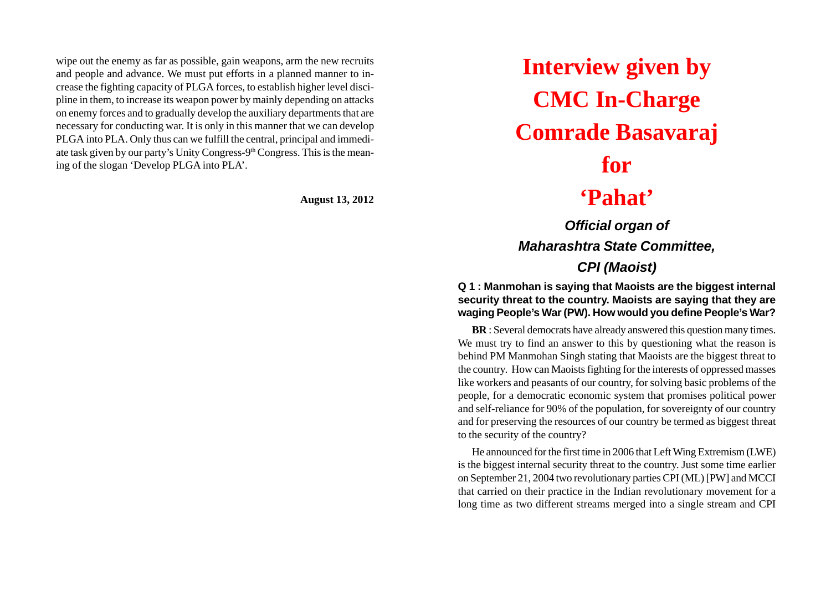wipe out the enemy as far as possible, gain weapons, arm the new recruits and people and advance. We must put efforts in a planned manner to increase the fighting capacity of PLGA forces, to establish higher level discipline in them, to increase its weapon power by mainly depending on attacks on enemy forces and to gradually develop the auxiliary departments that are necessary for conducting war. It is only in this manner that we can develop PLGA into PLA. Only thus can we fulfill the central, principal and immediate task given by our party's Unity Congress-9th Congress. This is the meaning of the slogan 'Develop PLGA into PLA'.

**August 13, 2012**

**Interview given by CMC In-Charge Comrade Basavaraj for 'Pahat'**

*Official organ of Maharashtra State Committee, CPI (Maoist)*

**Q 1 : Manmohan is saying that Maoists are the biggest internal security threat to the country. Maoists are saying that they are waging People's War (PW). How would you define People's War?**

**BR** : Several democrats have already answered this question many times. We must try to find an answer to this by questioning what the reason is behind PM Manmohan Singh stating that Maoists are the biggest threat to the country. How can Maoists fighting for the interests of oppressed masses like workers and peasants of our country, for solving basic problems of the people, for a democratic economic system that promises political power and self-reliance for 90% of the population, for sovereignty of our country and for preserving the resources of our country be termed as biggest threat to the security of the country?

He announced for the first time in 2006 that Left Wing Extremism (LWE) is the biggest internal security threat to the country. Just some time earlier on September 21, 2004 two revolutionary parties CPI (ML) [PW] and MCCI that carried on their practice in the Indian revolutionary movement for a long time as two different streams merged into a single stream and CPI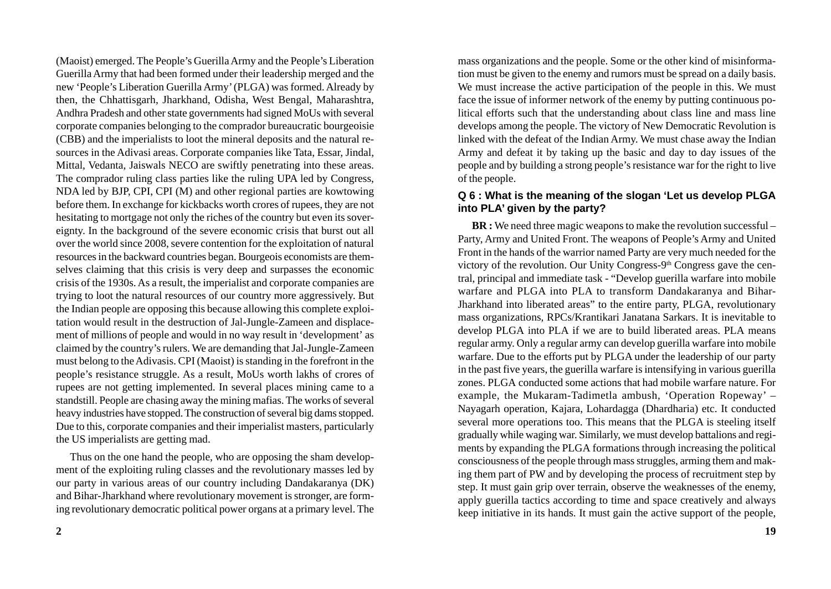(Maoist) emerged. The People's Guerilla Army and the People's Liberation Guerilla Army that had been formed under their leadership merged and the new 'People's Liberation Guerilla Army' (PLGA) was formed. Already by then, the Chhattisgarh, Jharkhand, Odisha, West Bengal, Maharashtra, Andhra Pradesh and other state governments had signed MoUs with several corporate companies belonging to the comprador bureaucratic bourgeoisie (CBB) and the imperialists to loot the mineral deposits and the natural resources in the Adivasi areas. Corporate companies like Tata, Essar, Jindal, Mittal, Vedanta, Jaiswals NECO are swiftly penetrating into these areas. The comprador ruling class parties like the ruling UPA led by Congress, NDA led by BJP, CPI, CPI (M) and other regional parties are kowtowing before them. In exchange for kickbacks worth crores of rupees, they are not hesitating to mortgage not only the riches of the country but even its sovereignty. In the background of the severe economic crisis that burst out all over the world since 2008, severe contention for the exploitation of natural resources in the backward countries began. Bourgeois economists are themselves claiming that this crisis is very deep and surpasses the economic crisis of the 1930s. As a result, the imperialist and corporate companies are trying to loot the natural resources of our country more aggressively. But the Indian people are opposing this because allowing this complete exploitation would result in the destruction of Jal-Jungle-Zameen and displacement of millions of people and would in no way result in 'development' as claimed by the country's rulers. We are demanding that Jal-Jungle-Zameen must belong to the Adivasis. CPI (Maoist) is standing in the forefront in the people's resistance struggle. As a result, MoUs worth lakhs of crores of rupees are not getting implemented. In several places mining came to a standstill. People are chasing away the mining mafias. The works of several heavy industries have stopped. The construction of several big dams stopped. Due to this, corporate companies and their imperialist masters, particularly the US imperialists are getting mad.

Thus on the one hand the people, who are opposing the sham development of the exploiting ruling classes and the revolutionary masses led by our party in various areas of our country including Dandakaranya (DK) and Bihar-Jharkhand where revolutionary movement is stronger, are forming revolutionary democratic political power organs at a primary level. The mass organizations and the people. Some or the other kind of misinformation must be given to the enemy and rumors must be spread on a daily basis. We must increase the active participation of the people in this. We must face the issue of informer network of the enemy by putting continuous political efforts such that the understanding about class line and mass line develops among the people. The victory of New Democratic Revolution is linked with the defeat of the Indian Army. We must chase away the Indian Army and defeat it by taking up the basic and day to day issues of the people and by building a strong people's resistance war for the right to live of the people.

## **Q 6 : What is the meaning of the slogan 'Let us develop PLGA into PLA' given by the party?**

**BR** : We need three magic weapons to make the revolution successful – Party, Army and United Front. The weapons of People's Army and United Front in the hands of the warrior named Party are very much needed for the victory of the revolution. Our Unity Congress-9<sup>th</sup> Congress gave the central, principal and immediate task - "Develop guerilla warfare into mobile warfare and PLGA into PLA to transform Dandakaranya and Bihar-Jharkhand into liberated areas" to the entire party, PLGA, revolutionary mass organizations, RPCs/Krantikari Janatana Sarkars. It is inevitable to develop PLGA into PLA if we are to build liberated areas. PLA means regular army. Only a regular army can develop guerilla warfare into mobile warfare. Due to the efforts put by PLGA under the leadership of our party in the past five years, the guerilla warfare is intensifying in various guerilla zones. PLGA conducted some actions that had mobile warfare nature. For example, the Mukaram-Tadimetla ambush, 'Operation Ropeway' – Nayagarh operation, Kajara, Lohardagga (Dhardharia) etc. It conducted several more operations too. This means that the PLGA is steeling itself gradually while waging war. Similarly, we must develop battalions and regiments by expanding the PLGA formations through increasing the political consciousness of the people through mass struggles, arming them and making them part of PW and by developing the process of recruitment step by step. It must gain grip over terrain, observe the weaknesses of the enemy, apply guerilla tactics according to time and space creatively and always keep initiative in its hands. It must gain the active support of the people,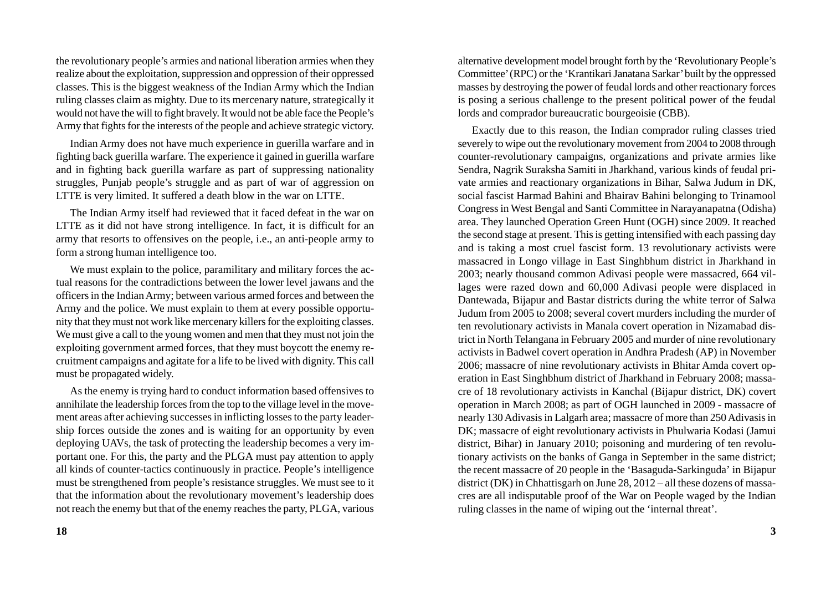the revolutionary people's armies and national liberation armies when they realize about the exploitation, suppression and oppression of their oppressed classes. This is the biggest weakness of the Indian Army which the Indian ruling classes claim as mighty. Due to its mercenary nature, strategically it would not have the will to fight bravely. It would not be able face the People's Army that fights for the interests of the people and achieve strategic victory.

Indian Army does not have much experience in guerilla warfare and in fighting back guerilla warfare. The experience it gained in guerilla warfare and in fighting back guerilla warfare as part of suppressing nationality struggles, Punjab people's struggle and as part of war of aggression on LTTE is very limited. It suffered a death blow in the war on LTTE.

The Indian Army itself had reviewed that it faced defeat in the war on LTTE as it did not have strong intelligence. In fact, it is difficult for an army that resorts to offensives on the people, i.e., an anti-people army to form a strong human intelligence too.

We must explain to the police, paramilitary and military forces the actual reasons for the contradictions between the lower level jawans and the officers in the Indian Army; between various armed forces and between the Army and the police. We must explain to them at every possible opportunity that they must not work like mercenary killers for the exploiting classes. We must give a call to the young women and men that they must not join the exploiting government armed forces, that they must boycott the enemy recruitment campaigns and agitate for a life to be lived with dignity. This call must be propagated widely.

As the enemy is trying hard to conduct information based offensives to annihilate the leadership forces from the top to the village level in the movement areas after achieving successes in inflicting losses to the party leadership forces outside the zones and is waiting for an opportunity by even deploying UAVs, the task of protecting the leadership becomes a very important one. For this, the party and the PLGA must pay attention to apply all kinds of counter-tactics continuously in practice. People's intelligence must be strengthened from people's resistance struggles. We must see to it that the information about the revolutionary movement's leadership does not reach the enemy but that of the enemy reaches the party, PLGA, various

alternative development model brought forth by the 'Revolutionary People's Committee' (RPC) or the 'Krantikari Janatana Sarkar' built by the oppressed masses by destroying the power of feudal lords and other reactionary forces is posing a serious challenge to the present political power of the feudal lords and comprador bureaucratic bourgeoisie (CBB).

Exactly due to this reason, the Indian comprador ruling classes tried severely to wipe out the revolutionary movement from 2004 to 2008 through counter-revolutionary campaigns, organizations and private armies like Sendra, Nagrik Suraksha Samiti in Jharkhand, various kinds of feudal private armies and reactionary organizations in Bihar, Salwa Judum in DK, social fascist Harmad Bahini and Bhairav Bahini belonging to Trinamool Congress in West Bengal and Santi Committee in Narayanapatna (Odisha) area. They launched Operation Green Hunt (OGH) since 2009. It reached the second stage at present. This is getting intensified with each passing day and is taking a most cruel fascist form. 13 revolutionary activists were massacred in Longo village in East Singhbhum district in Jharkhand in 2003; nearly thousand common Adivasi people were massacred, 664 villages were razed down and 60,000 Adivasi people were displaced in Dantewada, Bijapur and Bastar districts during the white terror of Salwa Judum from 2005 to 2008; several covert murders including the murder of ten revolutionary activists in Manala covert operation in Nizamabad district in North Telangana in February 2005 and murder of nine revolutionary activists in Badwel covert operation in Andhra Pradesh (AP) in November 2006; massacre of nine revolutionary activists in Bhitar Amda covert operation in East Singhbhum district of Jharkhand in February 2008; massacre of 18 revolutionary activists in Kanchal (Bijapur district, DK) covert operation in March 2008; as part of OGH launched in 2009 - massacre of nearly 130 Adivasis in Lalgarh area; massacre of more than 250 Adivasis in DK; massacre of eight revolutionary activists in Phulwaria Kodasi (Jamui district, Bihar) in January 2010; poisoning and murdering of ten revolutionary activists on the banks of Ganga in September in the same district; the recent massacre of 20 people in the 'Basaguda-Sarkinguda' in Bijapur district (DK) in Chhattisgarh on June 28, 2012 – all these dozens of massacres are all indisputable proof of the War on People waged by the Indian ruling classes in the name of wiping out the 'internal threat'.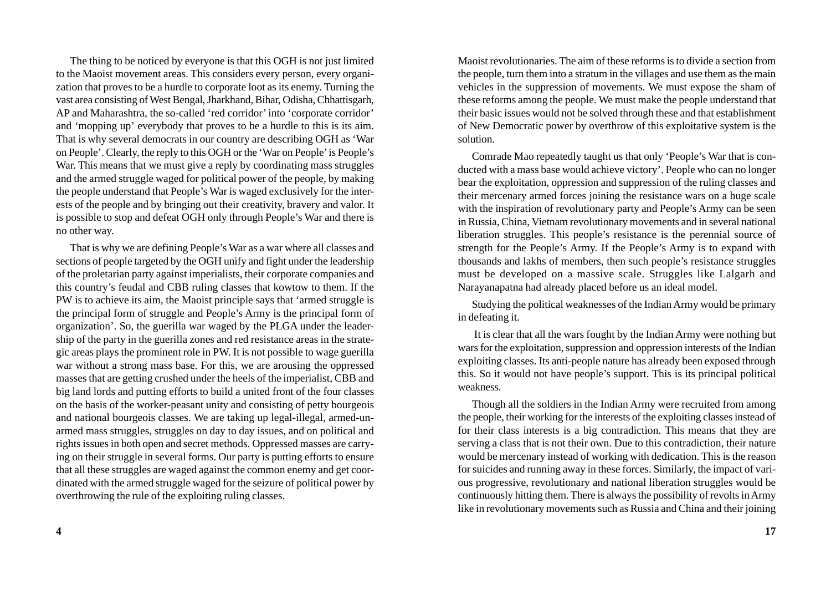The thing to be noticed by everyone is that this OGH is not just limited to the Maoist movement areas. This considers every person, every organization that proves to be a hurdle to corporate loot as its enemy. Turning the vast area consisting of West Bengal, Jharkhand, Bihar, Odisha, Chhattisgarh, AP and Maharashtra, the so-called 'red corridor' into 'corporate corridor' and 'mopping up' everybody that proves to be a hurdle to this is its aim. That is why several democrats in our country are describing OGH as 'War on People'. Clearly, the reply to this OGH or the 'War on People' is People's War. This means that we must give a reply by coordinating mass struggles and the armed struggle waged for political power of the people, by making the people understand that People's War is waged exclusively for the interests of the people and by bringing out their creativity, bravery and valor. It is possible to stop and defeat OGH only through People's War and there is no other way.

That is why we are defining People's War as a war where all classes and sections of people targeted by the OGH unify and fight under the leadership of the proletarian party against imperialists, their corporate companies and this country's feudal and CBB ruling classes that kowtow to them. If the PW is to achieve its aim, the Maoist principle says that 'armed struggle is the principal form of struggle and People's Army is the principal form of organization'. So, the guerilla war waged by the PLGA under the leadership of the party in the guerilla zones and red resistance areas in the strategic areas plays the prominent role in PW. It is not possible to wage guerilla war without a strong mass base. For this, we are arousing the oppressed masses that are getting crushed under the heels of the imperialist, CBB and big land lords and putting efforts to build a united front of the four classes on the basis of the worker-peasant unity and consisting of petty bourgeois and national bourgeois classes. We are taking up legal-illegal, armed-unarmed mass struggles, struggles on day to day issues, and on political and rights issues in both open and secret methods. Oppressed masses are carrying on their struggle in several forms. Our party is putting efforts to ensure that all these struggles are waged against the common enemy and get coordinated with the armed struggle waged for the seizure of political power by overthrowing the rule of the exploiting ruling classes.

Maoist revolutionaries. The aim of these reforms is to divide a section from the people, turn them into a stratum in the villages and use them as the main vehicles in the suppression of movements. We must expose the sham of these reforms among the people. We must make the people understand that their basic issues would not be solved through these and that establishment of New Democratic power by overthrow of this exploitative system is the solution.

Comrade Mao repeatedly taught us that only 'People's War that is conducted with a mass base would achieve victory'. People who can no longer bear the exploitation, oppression and suppression of the ruling classes and their mercenary armed forces joining the resistance wars on a huge scale with the inspiration of revolutionary party and People's Army can be seen in Russia, China, Vietnam revolutionary movements and in several national liberation struggles. This people's resistance is the perennial source of strength for the People's Army. If the People's Army is to expand with thousands and lakhs of members, then such people's resistance struggles must be developed on a massive scale. Struggles like Lalgarh and Narayanapatna had already placed before us an ideal model.

Studying the political weaknesses of the Indian Army would be primary in defeating it.

 It is clear that all the wars fought by the Indian Army were nothing but wars for the exploitation, suppression and oppression interests of the Indian exploiting classes. Its anti-people nature has already been exposed through this. So it would not have people's support. This is its principal political weakness.

Though all the soldiers in the Indian Army were recruited from among the people, their working for the interests of the exploiting classes instead of for their class interests is a big contradiction. This means that they are serving a class that is not their own. Due to this contradiction, their nature would be mercenary instead of working with dedication. This is the reason for suicides and running away in these forces. Similarly, the impact of various progressive, revolutionary and national liberation struggles would be continuously hitting them. There is always the possibility of revolts in Army like in revolutionary movements such as Russia and China and their joining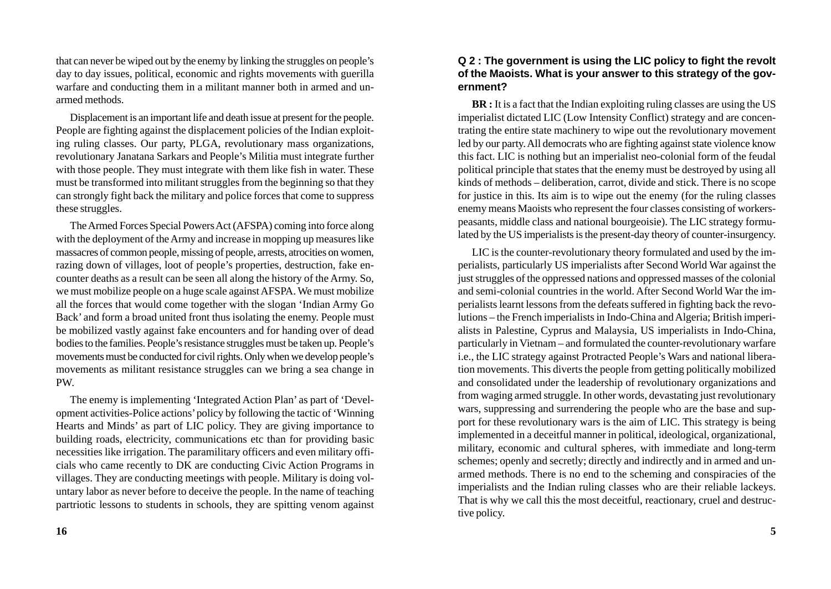that can never be wiped out by the enemy by linking the struggles on people's day to day issues, political, economic and rights movements with guerilla warfare and conducting them in a militant manner both in armed and unarmed methods.

Displacement is an important life and death issue at present for the people. People are fighting against the displacement policies of the Indian exploiting ruling classes. Our party, PLGA, revolutionary mass organizations, revolutionary Janatana Sarkars and People's Militia must integrate further with those people. They must integrate with them like fish in water. These must be transformed into militant struggles from the beginning so that they can strongly fight back the military and police forces that come to suppress these struggles.

The Armed Forces Special Powers Act (AFSPA) coming into force along with the deployment of the Army and increase in mopping up measures like massacres of common people, missing of people, arrests, atrocities on women, razing down of villages, loot of people's properties, destruction, fake encounter deaths as a result can be seen all along the history of the Army. So, we must mobilize people on a huge scale against AFSPA. We must mobilize all the forces that would come together with the slogan 'Indian Army Go Back' and form a broad united front thus isolating the enemy. People must be mobilized vastly against fake encounters and for handing over of dead bodies to the families. People's resistance struggles must be taken up. People's movements must be conducted for civil rights. Only when we develop people's movements as militant resistance struggles can we bring a sea change in PW.

The enemy is implementing 'Integrated Action Plan' as part of 'Development activities-Police actions' policy by following the tactic of 'Winning Hearts and Minds' as part of LIC policy. They are giving importance to building roads, electricity, communications etc than for providing basic necessities like irrigation. The paramilitary officers and even military officials who came recently to DK are conducting Civic Action Programs in villages. They are conducting meetings with people. Military is doing voluntary labor as never before to deceive the people. In the name of teaching partriotic lessons to students in schools, they are spitting venom against

#### **Q 2 : The government is using the LIC policy to fight the revolt of the Maoists. What is your answer to this strategy of the government?**

**BR :** It is a fact that the Indian exploiting ruling classes are using the US imperialist dictated LIC (Low Intensity Conflict) strategy and are concentrating the entire state machinery to wipe out the revolutionary movement led by our party. All democrats who are fighting against state violence know this fact. LIC is nothing but an imperialist neo-colonial form of the feudal political principle that states that the enemy must be destroyed by using all kinds of methods – deliberation, carrot, divide and stick. There is no scope for justice in this. Its aim is to wipe out the enemy (for the ruling classes enemy means Maoists who represent the four classes consisting of workerspeasants, middle class and national bourgeoisie). The LIC strategy formulated by the US imperialists is the present-day theory of counter-insurgency.

LIC is the counter-revolutionary theory formulated and used by the imperialists, particularly US imperialists after Second World War against the just struggles of the oppressed nations and oppressed masses of the colonial and semi-colonial countries in the world. After Second World War the imperialists learnt lessons from the defeats suffered in fighting back the revolutions – the French imperialists in Indo-China and Algeria; British imperialists in Palestine, Cyprus and Malaysia, US imperialists in Indo-China, particularly in Vietnam – and formulated the counter-revolutionary warfare i.e., the LIC strategy against Protracted People's Wars and national liberation movements. This diverts the people from getting politically mobilized and consolidated under the leadership of revolutionary organizations and from waging armed struggle. In other words, devastating just revolutionary wars, suppressing and surrendering the people who are the base and support for these revolutionary wars is the aim of LIC. This strategy is being implemented in a deceitful manner in political, ideological, organizational, military, economic and cultural spheres, with immediate and long-term schemes; openly and secretly; directly and indirectly and in armed and unarmed methods. There is no end to the scheming and conspiracies of the imperialists and the Indian ruling classes who are their reliable lackeys. That is why we call this the most deceitful, reactionary, cruel and destructive policy.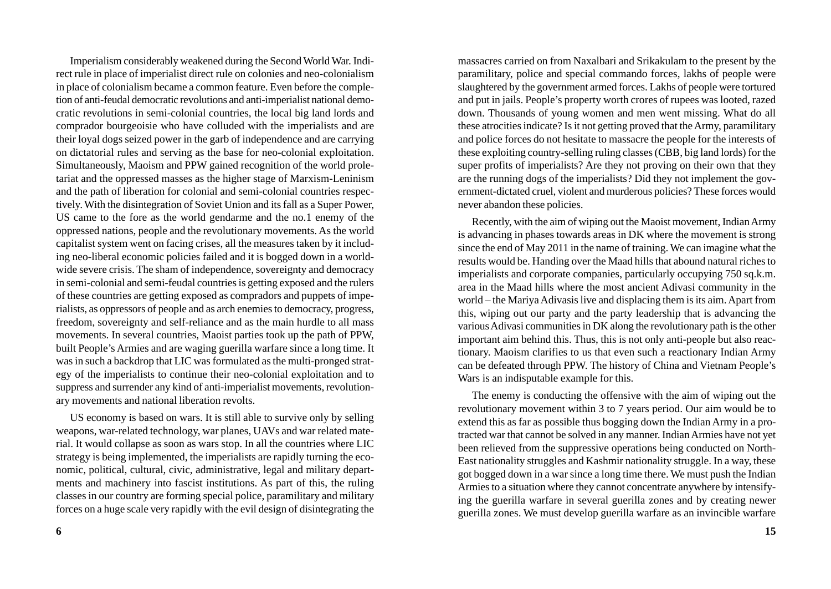Imperialism considerably weakened during the Second World War. Indirect rule in place of imperialist direct rule on colonies and neo-colonialism in place of colonialism became a common feature. Even before the completion of anti-feudal democratic revolutions and anti-imperialist national democratic revolutions in semi-colonial countries, the local big land lords and comprador bourgeoisie who have colluded with the imperialists and are their loyal dogs seized power in the garb of independence and are carrying on dictatorial rules and serving as the base for neo-colonial exploitation. Simultaneously, Maoism and PPW gained recognition of the world proletariat and the oppressed masses as the higher stage of Marxism-Leninism and the path of liberation for colonial and semi-colonial countries respectively. With the disintegration of Soviet Union and its fall as a Super Power, US came to the fore as the world gendarme and the no.1 enemy of the oppressed nations, people and the revolutionary movements. As the world capitalist system went on facing crises, all the measures taken by it including neo-liberal economic policies failed and it is bogged down in a worldwide severe crisis. The sham of independence, sovereignty and democracy in semi-colonial and semi-feudal countries is getting exposed and the rulers of these countries are getting exposed as compradors and puppets of imperialists, as oppressors of people and as arch enemies to democracy, progress, freedom, sovereignty and self-reliance and as the main hurdle to all mass movements. In several countries, Maoist parties took up the path of PPW, built People's Armies and are waging guerilla warfare since a long time. It was in such a backdrop that LIC was formulated as the multi-pronged strategy of the imperialists to continue their neo-colonial exploitation and to suppress and surrender any kind of anti-imperialist movements, revolutionary movements and national liberation revolts.

US economy is based on wars. It is still able to survive only by selling weapons, war-related technology, war planes, UAVs and war related material. It would collapse as soon as wars stop. In all the countries where LIC strategy is being implemented, the imperialists are rapidly turning the economic, political, cultural, civic, administrative, legal and military departments and machinery into fascist institutions. As part of this, the ruling classes in our country are forming special police, paramilitary and military forces on a huge scale very rapidly with the evil design of disintegrating the

massacres carried on from Naxalbari and Srikakulam to the present by the paramilitary, police and special commando forces, lakhs of people were slaughtered by the government armed forces. Lakhs of people were tortured and put in jails. People's property worth crores of rupees was looted, razed down. Thousands of young women and men went missing. What do all these atrocities indicate? Is it not getting proved that the Army, paramilitary and police forces do not hesitate to massacre the people for the interests of these exploiting country-selling ruling classes (CBB, big land lords) for the super profits of imperialists? Are they not proving on their own that they are the running dogs of the imperialists? Did they not implement the government-dictated cruel, violent and murderous policies? These forces would never abandon these policies.

Recently, with the aim of wiping out the Maoist movement, Indian Army is advancing in phases towards areas in DK where the movement is strong since the end of May 2011 in the name of training. We can imagine what the results would be. Handing over the Maad hills that abound natural riches to imperialists and corporate companies, particularly occupying 750 sq.k.m. area in the Maad hills where the most ancient Adivasi community in the world – the Mariya Adivasis live and displacing them is its aim. Apart from this, wiping out our party and the party leadership that is advancing the various Adivasi communities in DK along the revolutionary path is the other important aim behind this. Thus, this is not only anti-people but also reactionary. Maoism clarifies to us that even such a reactionary Indian Army can be defeated through PPW. The history of China and Vietnam People's Wars is an indisputable example for this.

The enemy is conducting the offensive with the aim of wiping out the revolutionary movement within 3 to 7 years period. Our aim would be to extend this as far as possible thus bogging down the Indian Army in a protracted war that cannot be solved in any manner. Indian Armies have not yet been relieved from the suppressive operations being conducted on North-East nationality struggles and Kashmir nationality struggle. In a way, these got bogged down in a war since a long time there. We must push the Indian Armies to a situation where they cannot concentrate anywhere by intensifying the guerilla warfare in several guerilla zones and by creating newer guerilla zones. We must develop guerilla warfare as an invincible warfare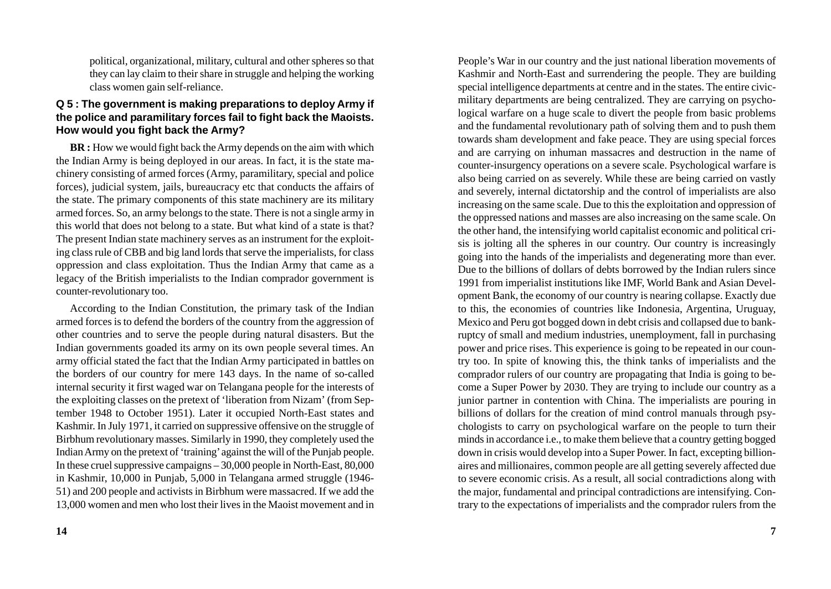political, organizational, military, cultural and other spheres so that they can lay claim to their share in struggle and helping the working class women gain self-reliance.

# **Q 5 : The government is making preparations to deploy Army if the police and paramilitary forces fail to fight back the Maoists. How would you fight back the Army?**

**BR :** How we would fight back the Army depends on the aim with which the Indian Army is being deployed in our areas. In fact, it is the state machinery consisting of armed forces (Army, paramilitary, special and police forces), judicial system, jails, bureaucracy etc that conducts the affairs of the state. The primary components of this state machinery are its military armed forces. So, an army belongs to the state. There is not a single army in this world that does not belong to a state. But what kind of a state is that? The present Indian state machinery serves as an instrument for the exploiting class rule of CBB and big land lords that serve the imperialists, for class oppression and class exploitation. Thus the Indian Army that came as a legacy of the British imperialists to the Indian comprador government is counter-revolutionary too.

According to the Indian Constitution, the primary task of the Indian armed forces is to defend the borders of the country from the aggression of other countries and to serve the people during natural disasters. But the Indian governments goaded its army on its own people several times. An army official stated the fact that the Indian Army participated in battles on the borders of our country for mere 143 days. In the name of so-called internal security it first waged war on Telangana people for the interests of the exploiting classes on the pretext of 'liberation from Nizam' (from September 1948 to October 1951). Later it occupied North-East states and Kashmir. In July 1971, it carried on suppressive offensive on the struggle of Birbhum revolutionary masses. Similarly in 1990, they completely used the Indian Army on the pretext of 'training' against the will of the Punjab people. In these cruel suppressive campaigns – 30,000 people in North-East, 80,000 in Kashmir, 10,000 in Punjab, 5,000 in Telangana armed struggle (1946- 51) and 200 people and activists in Birbhum were massacred. If we add the 13,000 women and men who lost their lives in the Maoist movement and in People's War in our country and the just national liberation movements of Kashmir and North-East and surrendering the people. They are building special intelligence departments at centre and in the states. The entire civicmilitary departments are being centralized. They are carrying on psychological warfare on a huge scale to divert the people from basic problems and the fundamental revolutionary path of solving them and to push them towards sham development and fake peace. They are using special forces and are carrying on inhuman massacres and destruction in the name of counter-insurgency operations on a severe scale. Psychological warfare is also being carried on as severely. While these are being carried on vastly and severely, internal dictatorship and the control of imperialists are also increasing on the same scale. Due to this the exploitation and oppression of the oppressed nations and masses are also increasing on the same scale. On the other hand, the intensifying world capitalist economic and political crisis is jolting all the spheres in our country. Our country is increasingly going into the hands of the imperialists and degenerating more than ever. Due to the billions of dollars of debts borrowed by the Indian rulers since 1991 from imperialist institutions like IMF, World Bank and Asian Development Bank, the economy of our country is nearing collapse. Exactly due to this, the economies of countries like Indonesia, Argentina, Uruguay, Mexico and Peru got bogged down in debt crisis and collapsed due to bankruptcy of small and medium industries, unemployment, fall in purchasing power and price rises. This experience is going to be repeated in our country too. In spite of knowing this, the think tanks of imperialists and the comprador rulers of our country are propagating that India is going to become a Super Power by 2030. They are trying to include our country as a junior partner in contention with China. The imperialists are pouring in billions of dollars for the creation of mind control manuals through psychologists to carry on psychological warfare on the people to turn their minds in accordance i.e., to make them believe that a country getting bogged down in crisis would develop into a Super Power. In fact, excepting billionaires and millionaires, common people are all getting severely affected due to severe economic crisis. As a result, all social contradictions along with the major, fundamental and principal contradictions are intensifying. Contrary to the expectations of imperialists and the comprador rulers from the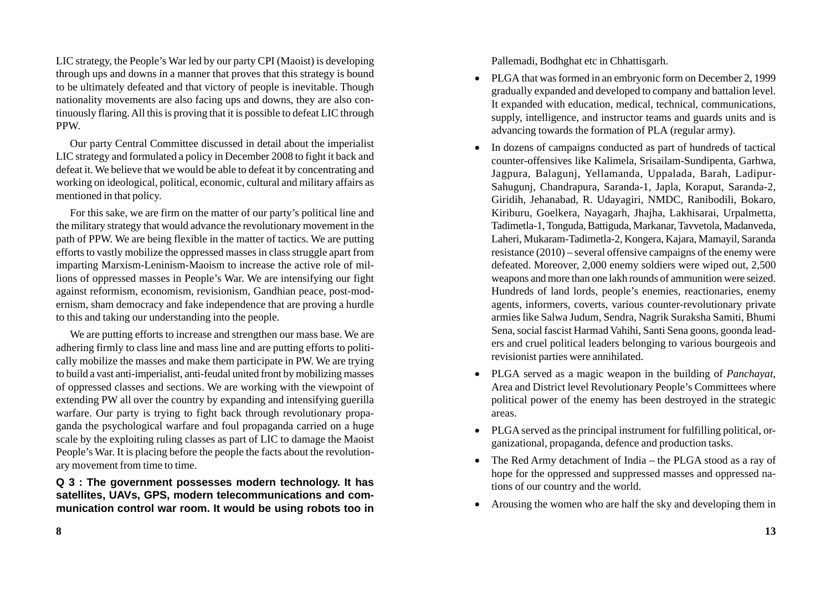LIC strategy, the People's War led by our party CPI (Maoist) is developing through ups and downs in a manner that proves that this strategy is bound to be ultimately defeated and that victory of people is inevitable. Though nationality movements are also facing ups and downs, they are also continuously flaring. All this is proving that it is possible to defeat LIC through PPW.

Our party Central Committee discussed in detail about the imperialist LIC strategy and formulated a policy in December 2008 to fight it back and defeat it. We believe that we would be able to defeat it by concentrating and working on ideological, political, economic, cultural and military affairs as mentioned in that policy.

For this sake, we are firm on the matter of our party's political line and the military strategy that would advance the revolutionary movement in the path of PPW. We are being flexible in the matter of tactics. We are putting efforts to vastly mobilize the oppressed masses in class struggle apart from imparting Marxism-Leninism-Maoism to increase the active role of millions of oppressed masses in People's War. We are intensifying our fight against reformism, economism, revisionism, Gandhian peace, post-modernism, sham democracy and fake independence that are proving a hurdle to this and taking our understanding into the people.

We are putting efforts to increase and strengthen our mass base. We are adhering firmly to class line and mass line and are putting efforts to politically mobilize the masses and make them participate in PW. We are trying to build a vast anti-imperialist, anti-feudal united front by mobilizing masses of oppressed classes and sections. We are working with the viewpoint of extending PW all over the country by expanding and intensifying guerilla warfare. Our party is trying to fight back through revolutionary propaganda the psychological warfare and foul propaganda carried on a huge scale by the exploiting ruling classes as part of LIC to damage the Maoist People's War. It is placing before the people the facts about the revolutionary movement from time to time.

**Q 3 : The government possesses modern technology. It has satellites, UAVs, GPS, modern telecommunications and communication control war room. It would be using robots too in** Pallemadi, Bodhghat etc in Chhattisgarh.

- PLGA that was formed in an embryonic form on December 2, 1999 gradually expanded and developed to company and battalion level. It expanded with education, medical, technical, communications, supply, intelligence, and instructor teams and guards units and is advancing towards the formation of PLA (regular army).
- In dozens of campaigns conducted as part of hundreds of tactical counter-offensives like Kalimela, Srisailam-Sundipenta, Garhwa, Jagpura, Balagunj, Yellamanda, Uppalada, Barah, Ladipur-Sahugunj, Chandrapura, Saranda-1, Japla, Koraput, Saranda-2, Giridih, Jehanabad, R. Udayagiri, NMDC, Ranibodili, Bokaro, Kiriburu, Goelkera, Nayagarh, Jhajha, Lakhisarai, Urpalmetta, Tadimetla-1, Tonguda, Battiguda, Markanar, Tavvetola, Madanveda, Laheri, Mukaram-Tadimetla-2, Kongera, Kajara, Mamayil, Saranda resistance (2010) – several offensive campaigns of the enemy were defeated. Moreover, 2,000 enemy soldiers were wiped out, 2,500 weapons and more than one lakh rounds of ammunition were seized. Hundreds of land lords, people's enemies, reactionaries, enemy agents, informers, coverts, various counter-revolutionary private armies like Salwa Judum, Sendra, Nagrik Suraksha Samiti, Bhumi Sena, social fascist Harmad Vahihi, Santi Sena goons, goonda leaders and cruel political leaders belonging to various bourgeois and revisionist parties were annihilated.
- PLGA served as a magic weapon in the building of *Panchayat*, Area and District level Revolutionary People's Committees where political power of the enemy has been destroyed in the strategic areas.
- PLGA served as the principal instrument for fulfilling political, organizational, propaganda, defence and production tasks.
- The Red Army detachment of India the PLGA stood as a ray of hope for the oppressed and suppressed masses and oppressed nations of our country and the world.
- Arousing the women who are half the sky and developing them in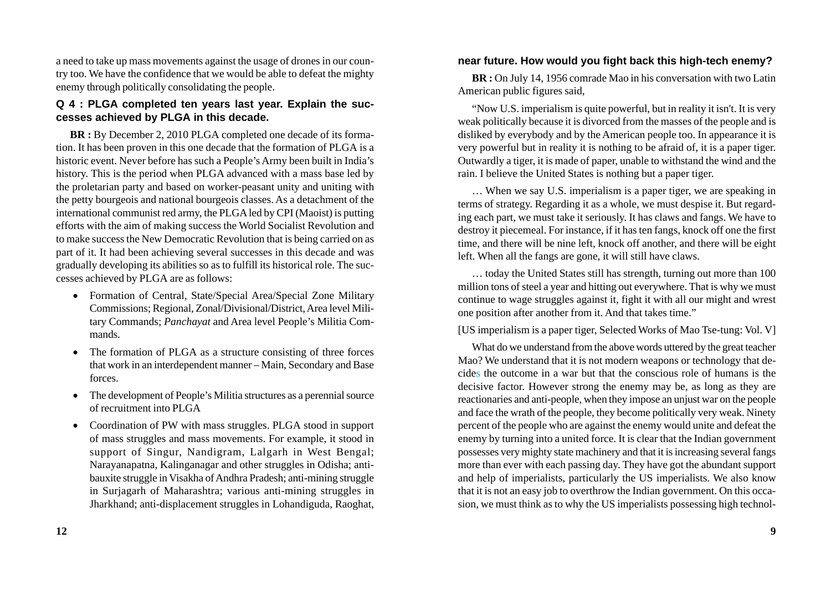a need to take up mass movements against the usage of drones in our country too. We have the confidence that we would be able to defeat the mighty enemy through politically consolidating the people.

## **Q 4 : PLGA completed ten years last year. Explain the successes achieved by PLGA in this decade.**

**BR :** By December 2, 2010 PLGA completed one decade of its formation. It has been proven in this one decade that the formation of PLGA is a historic event. Never before has such a People's Army been built in India's history. This is the period when PLGA advanced with a mass base led by the proletarian party and based on worker-peasant unity and uniting with the petty bourgeois and national bourgeois classes. As a detachment of the international communist red army, the PLGA led by CPI (Maoist) is putting efforts with the aim of making success the World Socialist Revolution and to make success the New Democratic Revolution that is being carried on as part of it. It had been achieving several successes in this decade and was gradually developing its abilities so as to fulfill its historical role. The successes achieved by PLGA are as follows:

- Formation of Central, State/Special Area/Special Zone Military Commissions; Regional, Zonal/Divisional/District, Area level Military Commands; *Panchayat* and Area level People's Militia Commands.
- The formation of PLGA as a structure consisting of three forces that work in an interdependent manner – Main, Secondary and Base forces.
- The development of People's Militia structures as a perennial source of recruitment into PLGA
- Coordination of PW with mass struggles. PLGA stood in support of mass struggles and mass movements. For example, it stood in support of Singur, Nandigram, Lalgarh in West Bengal; Narayanapatna, Kalinganagar and other struggles in Odisha; antibauxite struggle in Visakha of Andhra Pradesh; anti-mining struggle in Surjagarh of Maharashtra; various anti-mining struggles in Jharkhand; anti-displacement struggles in Lohandiguda, Raoghat,

## **near future. How would you fight back this high-tech enemy?**

**BR :** On July 14, 1956 comrade Mao in his conversation with two Latin American public figures said,

"Now U.S. imperialism is quite powerful, but in reality it isn't. It is very weak politically because it is divorced from the masses of the people and is disliked by everybody and by the American people too. In appearance it is very powerful but in reality it is nothing to be afraid of, it is a paper tiger. Outwardly a tiger, it is made of paper, unable to withstand the wind and the rain. I believe the United States is nothing but a paper tiger.

… When we say U.S. imperialism is a paper tiger, we are speaking in terms of strategy. Regarding it as a whole, we must despise it. But regarding each part, we must take it seriously. It has claws and fangs. We have to destroy it piecemeal. For instance, if it has ten fangs, knock off one the first time, and there will be nine left, knock off another, and there will be eight left. When all the fangs are gone, it will still have claws.

… today the United States still has strength, turning out more than 100 million tons of steel a year and hitting out everywhere. That is why we must continue to wage struggles against it, fight it with all our might and wrest one position after another from it. And that takes time."

[US imperialism is a paper tiger, Selected Works of Mao Tse-tung: Vol. V]

What do we understand from the above words uttered by the great teacher Mao? We understand that it is not modern weapons or technology that decides the outcome in a war but that the conscious role of humans is the decisive factor. However strong the enemy may be, as long as they are reactionaries and anti-people, when they impose an unjust war on the people and face the wrath of the people, they become politically very weak. Ninety percent of the people who are against the enemy would unite and defeat the enemy by turning into a united force. It is clear that the Indian government possesses very mighty state machinery and that it is increasing several fangs more than ever with each passing day. They have got the abundant support and help of imperialists, particularly the US imperialists. We also know that it is not an easy job to overthrow the Indian government. On this occasion, we must think as to why the US imperialists possessing high technol